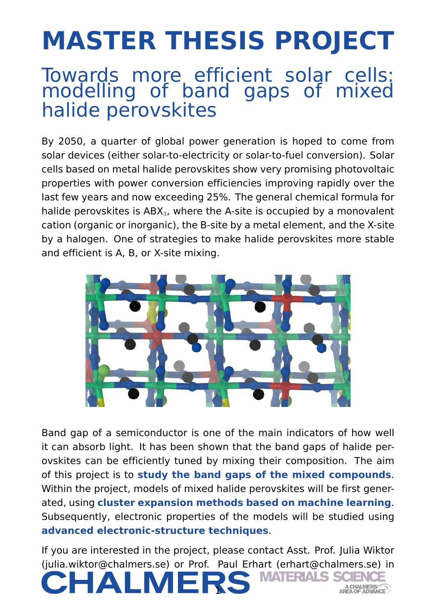## **MASTER THESIS PROJECT**

## Towards more efficient solar cells: modelling of band gaps of mixed halide perovskites

By 2050, a quarter of global power generation is hoped to come from solar devices (either solar-to-electricity or solar-to-fuel conversion). Solar cells based on metal halide perovskites show very promising photovoltaic properties with power conversion efficiencies improving rapidly over the last few years and now exceeding 25%. The general chemical formula for halide perovskites is  $ABX<sub>3</sub>$ , where the A-site is occupied by a monovalent cation (organic or inorganic), the B-site by a metal element, and the X-site by a halogen. One of strategies to make halide perovskites more stable and efficient is A, B, or X-site mixing.



Band gap of a semiconductor is one of the main indicators of how well it can absorb light. It has been shown that the band gaps of halide perovskites can be efficiently tuned by mixing their composition. The aim of this project is to **study the band gaps of the mixed compounds**. Within the project, models of mixed halide perovskites will be first generated, using **cluster expansion methods based on machine learning**. Subsequently, electronic properties of the models will be studied using **advanced electronic-structure techniques**.

If you are interested in the project, please contact Asst. Prof. Julia Wiktor (julia.wiktor@chalmers.se) or Prof. Paul Erhart (erhart@chalmers.se) in

1

ZHAI N

**MATERIALS** 

A CHALMERS